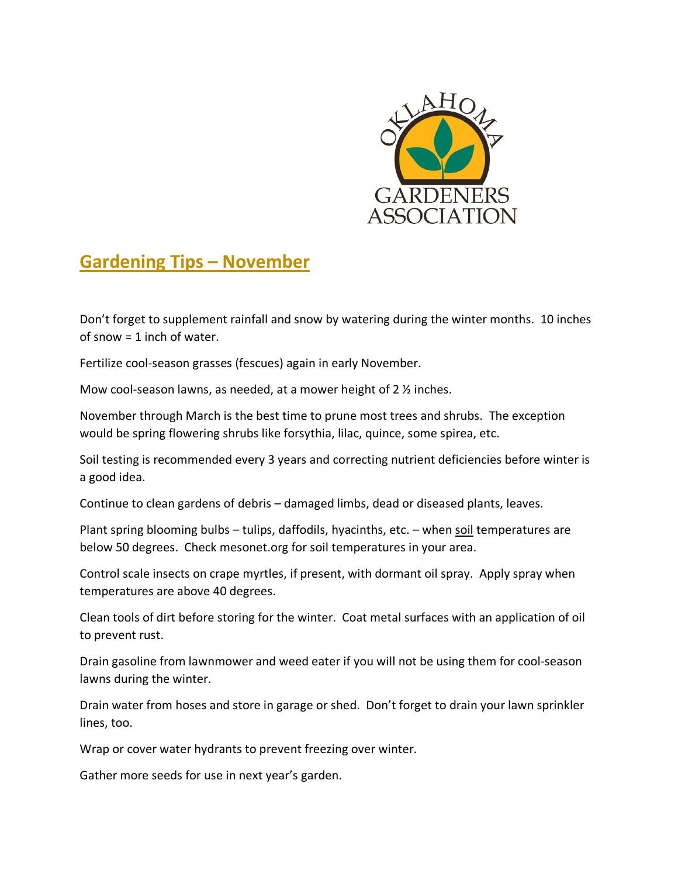

## **Gardening Tips – November**

Don't forget to supplement rainfall and snow by watering during the winter months. 10 inches of snow = 1 inch of water.

Fertilize cool-season grasses (fescues) again in early November.

Mow cool-season lawns, as needed, at a mower height of 2 ½ inches.

November through March is the best time to prune most trees and shrubs. The exception would be spring flowering shrubs like forsythia, lilac, quince, some spirea, etc.

Soil testing is recommended every 3 years and correcting nutrient deficiencies before winter is a good idea.

Continue to clean gardens of debris – damaged limbs, dead or diseased plants, leaves.

Plant spring blooming bulbs – tulips, daffodils, hyacinths, etc. – when soil temperatures are below 50 degrees. Check mesonet.org for soil temperatures in your area.

Control scale insects on crape myrtles, if present, with dormant oil spray. Apply spray when temperatures are above 40 degrees.

Clean tools of dirt before storing for the winter. Coat metal surfaces with an application of oil to prevent rust.

Drain gasoline from lawnmower and weed eater if you will not be using them for cool-season lawns during the winter.

Drain water from hoses and store in garage or shed. Don't forget to drain your lawn sprinkler lines, too.

Wrap or cover water hydrants to prevent freezing over winter.

Gather more seeds for use in next year's garden.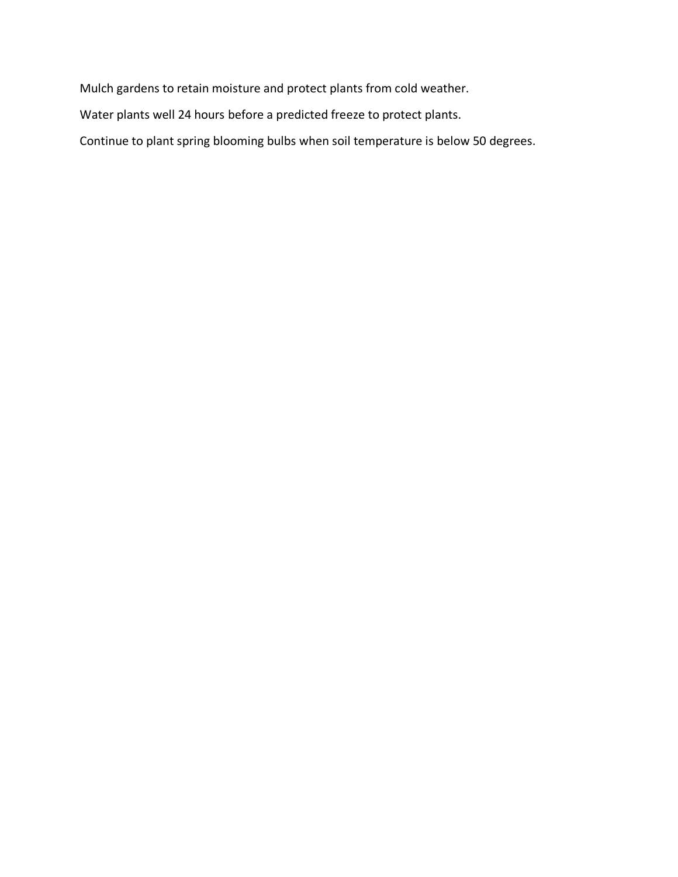Mulch gardens to retain moisture and protect plants from cold weather.

Water plants well 24 hours before a predicted freeze to protect plants.

Continue to plant spring blooming bulbs when soil temperature is below 50 degrees.